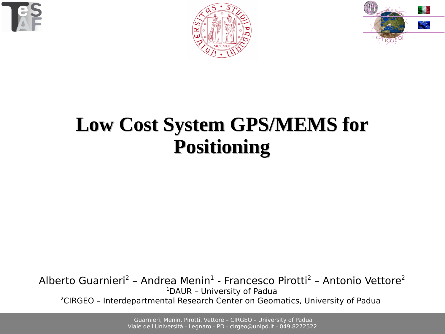





# **Low Cost System GPS/MEMS for Positioning**

Alberto Guarnieri<sup>2</sup> - Andrea Menin<sup>1</sup> - Francesco Pirotti<sup>2</sup> - Antonio Vettore<sup>2</sup> <sup>1</sup>DAUR – University of Padua 2CIRGEO – Interdepartmental Research Center on Geomatics, University of Padua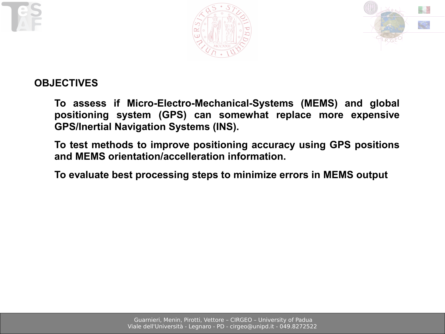





### **OBJECTIVES**

**To assess if Micro-Electro-Mechanical-Systems (MEMS) and global positioning system (GPS) can somewhat replace more expensive GPS/Inertial Navigation Systems (INS).**

**To test methods to improve positioning accuracy using GPS positions and MEMS orientation/accelleration information.**

**To evaluate best processing steps to minimize errors in MEMS output**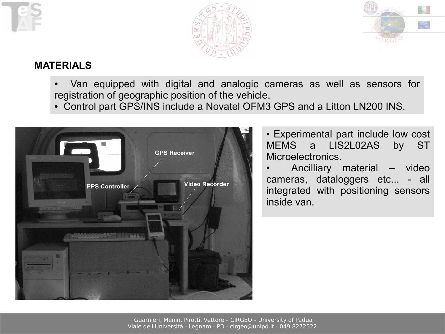





#### **MATFRIALS**

Van equipped with digital and analogic cameras as well as sensors for registration of geographic position of the vehicle.

• Control part GPS/INS include a Novatel OFM3 GPS and a Litton LN200 INS.



• Experimental part include low cost MEMS a LIS2L02AS by ST Microelectronics.

Ancilliary material – video cameras, dataloggers etc... - all integrated with positioning sensors inside van.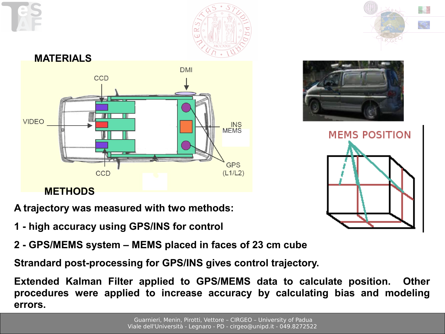

**MEMS POSITION** 



**A trajectory was measured with two methods:**

- **1 high accuracy using GPS/INS for control**
- **2 GPS/MEMS system MEMS placed in faces of 23 cm cube**

**Strandard post-processing for GPS/INS gives control trajectory.**

**Extended Kalman Filter applied to GPS/MEMS data to calculate position. Other procedures were applied to increase accuracy by calculating bias and modeling errors.**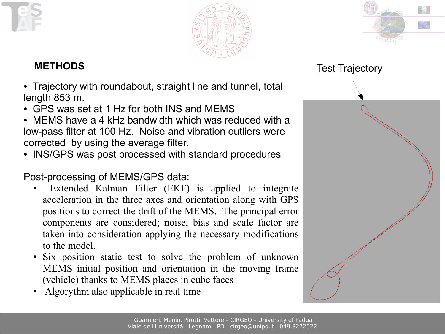



#### **METHODS**

- Trajectory with roundabout, straight line and tunnel, total length 853 m.
- GPS was set at 1 Hz for both INS and MEMS
- MEMS have a 4 kHz bandwidth which was reduced with a low-pass filter at 100 Hz. Noise and vibration outliers were corrected by using the average filter.
- INS/GPS was post processed with standard procedures

Post-processing of MEMS/GPS data:

- Extended Kalman Filter (EKF) is applied to integrate acceleration in the three axes and orientation along with GPS positions to correct the drift of the MEMS. The principal error components are considered; noise, bias and scale factor are taken into consideration applying the necessary modifications to the model.
- Six position static test to solve the problem of unknown MEMS initial position and orientation in the moving frame (vehicle) thanks to MEMS places in cube faces
- Algorythm also applicable in real time



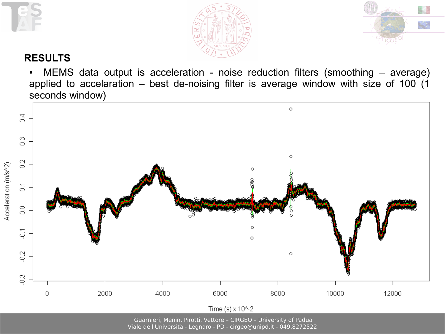

Acceleration (m/s^2)





#### **RESULTS**

• MEMS data output is acceleration - noise reduction filters (smoothing – average) applied to accelaration – best de-noising filter is average window with size of 100 (1 seconds window)



Guarnieri, Menin, Pirotti, Vettore – CIRGEO – University of Padua

Viale dell'Università - Legnaro - PD - cirgeo@unipd.it - 049.8272522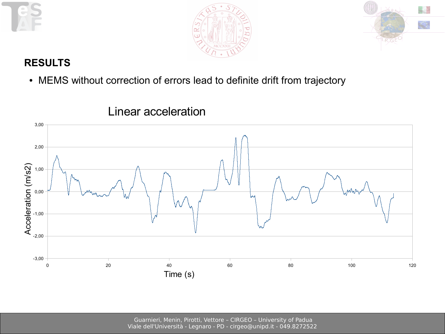





### **RESULTS**

• MEMS without correction of errors lead to definite drift from trajectory



# Linear acceleration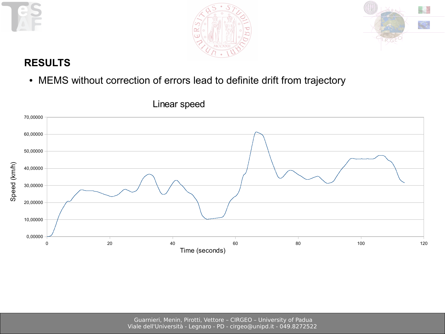





#### **RESULTS**

• MEMS without correction of errors lead to definite drift from trajectory



Linear speed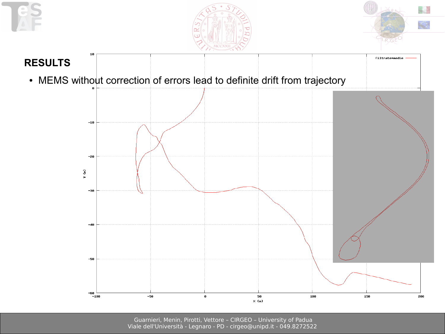





filtrate+medie

### **RESULTS**

10

• MEMS without correction of errors lead to definite drift from trajectory

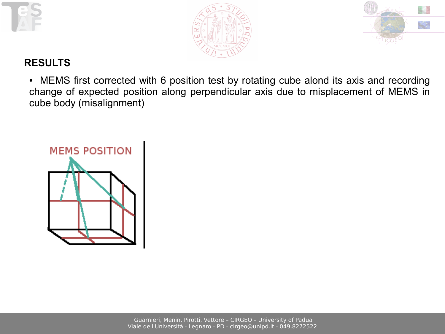





#### **RESULTS**

• MEMS first corrected with 6 position test by rotating cube alond its axis and recording change of expected position along perpendicular axis due to misplacement of MEMS in cube body (misalignment)

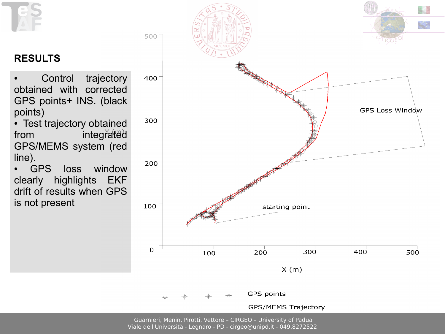



Guarnieri, Menin, Pirotti, Vettore – CIRGEO – University of Padua Viale dell'Università - Legnaro - PD - cirgeo@unipd.it - 049.8272522

# **RESULTS**

- Control trajectory obtained with corrected GPS points+ INS. (black points)
- Test trajectory obtained from integrated GPS/MEMS system (red line).
- GPS loss window clearly highlights EKF drift of results when GPS is not present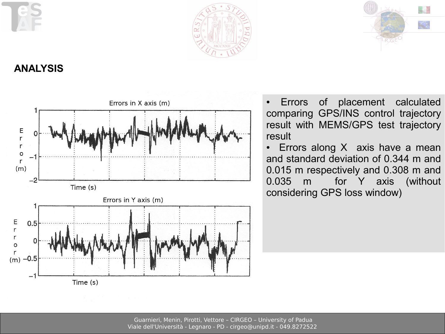





**ANALYSIS**



• Errors of placement calculated comparing GPS/INS control trajectory result with MEMS/GPS test trajectory result

• Errors along  $X$  axis have a mean and standard deviation of 0.344 m and 0.015 m respectively and 0.308 m and 0.035 m for Y axis (without considering GPS loss window)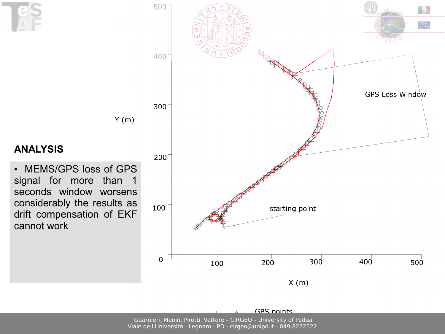



500

Guarnieri, Menin, Pirotti, Vettore – CIRGEO – University of Padua Viale dell'Università - Legnaro - PD - cirgeo@unipd.it - 049.8272522

**GPS** points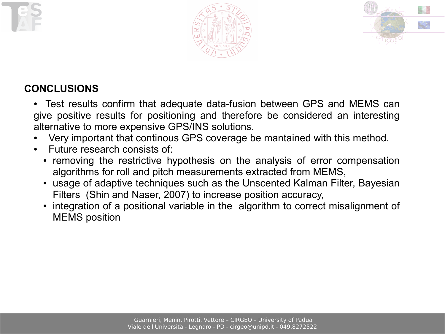



# **CONCLUSIONS**

- Test results confirm that adequate data-fusion between GPS and MEMS can give positive results for positioning and therefore be considered an interesting alternative to more expensive GPS/INS solutions.
- Very important that continous GPS coverage be mantained with this method.
- Future research consists of:
	- removing the restrictive hypothesis on the analysis of error compensation algorithms for roll and pitch measurements extracted from MEMS,
	- usage of adaptive techniques such as the Unscented Kalman Filter, Bayesian Filters (Shin and Naser, 2007) to increase position accuracy,
	- integration of a positional variable in the algorithm to correct misalignment of MEMS position